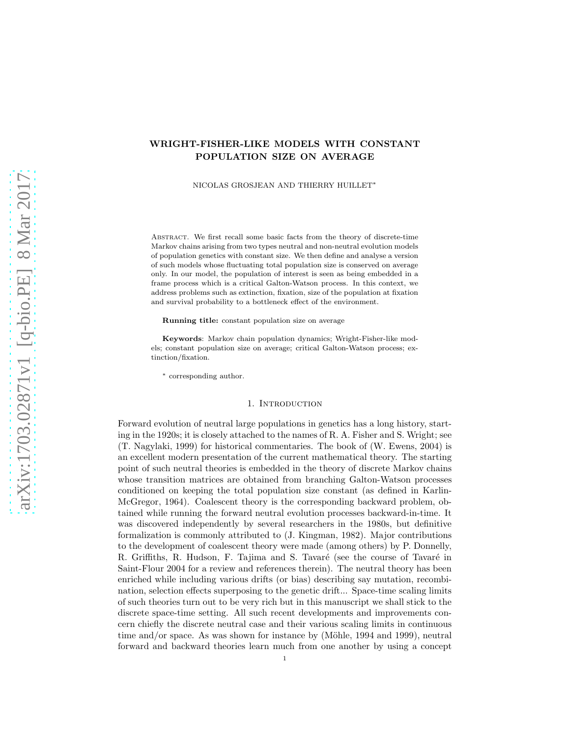# WRIGHT-FISHER-LIKE MODELS WITH CONSTANT POPULATION SIZE ON AVERAGE

NICOLAS GROSJEAN AND THIERRY HUILLET<sup>∗</sup>

Abstract. We first recall some basic facts from the theory of discrete-time Markov chains arising from two types neutral and non-neutral evolution models of population genetics with constant size. We then define and analyse a version of such models whose fluctuating total population size is conserved on average only. In our model, the population of interest is seen as being embedded in a frame process which is a critical Galton-Watson process. In this context, we address problems such as extinction, fixation, size of the population at fixation and survival probability to a bottleneck effect of the environment.

Running title: constant population size on average

Keywords: Markov chain population dynamics; Wright-Fisher-like models; constant population size on average; critical Galton-Watson process; extinction/fixation.

<sup>∗</sup> corresponding author.

### 1. INTRODUCTION

Forward evolution of neutral large populations in genetics has a long history, starting in the 1920s; it is closely attached to the names of R. A. Fisher and S. Wright; see (T. Nagylaki, 1999) for historical commentaries. The book of (W. Ewens, 2004) is an excellent modern presentation of the current mathematical theory. The starting point of such neutral theories is embedded in the theory of discrete Markov chains whose transition matrices are obtained from branching Galton-Watson processes conditioned on keeping the total population size constant (as defined in Karlin-McGregor, 1964). Coalescent theory is the corresponding backward problem, obtained while running the forward neutral evolution processes backward-in-time. It was discovered independently by several researchers in the 1980s, but definitive formalization is commonly attributed to (J. Kingman, 1982). Major contributions to the development of coalescent theory were made (among others) by P. Donnelly, R. Griffiths, R. Hudson, F. Tajima and S. Tavaré (see the course of Tavaré in Saint-Flour 2004 for a review and references therein). The neutral theory has been enriched while including various drifts (or bias) describing say mutation, recombination, selection effects superposing to the genetic drift... Space-time scaling limits of such theories turn out to be very rich but in this manuscript we shall stick to the discrete space-time setting. All such recent developments and improvements concern chiefly the discrete neutral case and their various scaling limits in continuous time and/or space. As was shown for instance by  $(Möhle, 1994 \text{ and } 1999)$ , neutral forward and backward theories learn much from one another by using a concept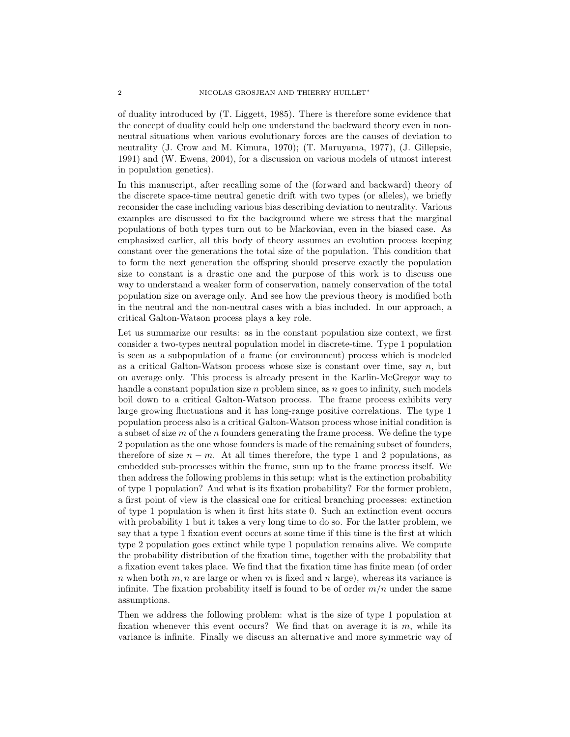of duality introduced by (T. Liggett, 1985). There is therefore some evidence that the concept of duality could help one understand the backward theory even in nonneutral situations when various evolutionary forces are the causes of deviation to neutrality (J. Crow and M. Kimura, 1970); (T. Maruyama, 1977), (J. Gillepsie, 1991) and (W. Ewens, 2004), for a discussion on various models of utmost interest in population genetics).

In this manuscript, after recalling some of the (forward and backward) theory of the discrete space-time neutral genetic drift with two types (or alleles), we briefly reconsider the case including various bias describing deviation to neutrality. Various examples are discussed to fix the background where we stress that the marginal populations of both types turn out to be Markovian, even in the biased case. As emphasized earlier, all this body of theory assumes an evolution process keeping constant over the generations the total size of the population. This condition that to form the next generation the offspring should preserve exactly the population size to constant is a drastic one and the purpose of this work is to discuss one way to understand a weaker form of conservation, namely conservation of the total population size on average only. And see how the previous theory is modified both in the neutral and the non-neutral cases with a bias included. In our approach, a critical Galton-Watson process plays a key role.

Let us summarize our results: as in the constant population size context, we first consider a two-types neutral population model in discrete-time. Type 1 population is seen as a subpopulation of a frame (or environment) process which is modeled as a critical Galton-Watson process whose size is constant over time, say  $n$ , but on average only. This process is already present in the Karlin-McGregor way to handle a constant population size  $n$  problem since, as  $n$  goes to infinity, such models boil down to a critical Galton-Watson process. The frame process exhibits very large growing fluctuations and it has long-range positive correlations. The type 1 population process also is a critical Galton-Watson process whose initial condition is a subset of size  $m$  of the  $n$  founders generating the frame process. We define the type 2 population as the one whose founders is made of the remaining subset of founders, therefore of size  $n - m$ . At all times therefore, the type 1 and 2 populations, as embedded sub-processes within the frame, sum up to the frame process itself. We then address the following problems in this setup: what is the extinction probability of type 1 population? And what is its fixation probability? For the former problem, a first point of view is the classical one for critical branching processes: extinction of type 1 population is when it first hits state 0. Such an extinction event occurs with probability 1 but it takes a very long time to do so. For the latter problem, we say that a type 1 fixation event occurs at some time if this time is the first at which type 2 population goes extinct while type 1 population remains alive. We compute the probability distribution of the fixation time, together with the probability that a fixation event takes place. We find that the fixation time has finite mean (of order n when both  $m, n$  are large or when m is fixed and n large), whereas its variance is infinite. The fixation probability itself is found to be of order  $m/n$  under the same assumptions.

Then we address the following problem: what is the size of type 1 population at fixation whenever this event occurs? We find that on average it is  $m$ , while its variance is infinite. Finally we discuss an alternative and more symmetric way of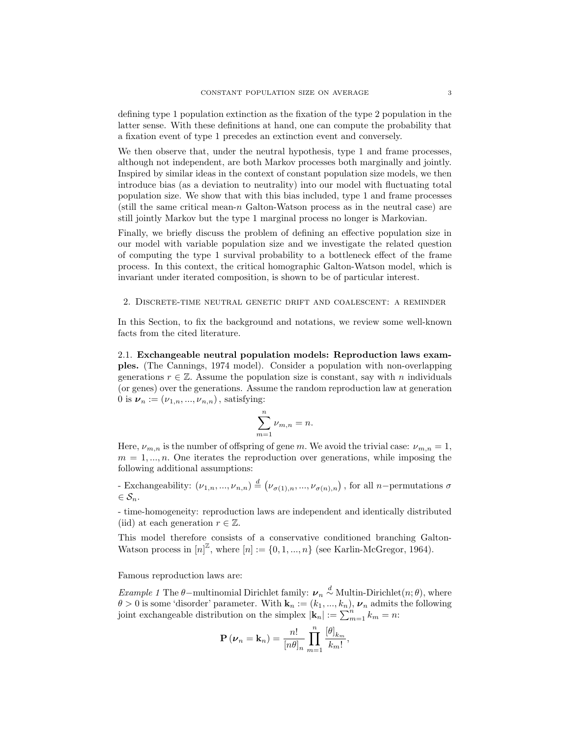defining type 1 population extinction as the fixation of the type 2 population in the latter sense. With these definitions at hand, one can compute the probability that a fixation event of type 1 precedes an extinction event and conversely.

We then observe that, under the neutral hypothesis, type 1 and frame processes, although not independent, are both Markov processes both marginally and jointly. Inspired by similar ideas in the context of constant population size models, we then introduce bias (as a deviation to neutrality) into our model with fluctuating total population size. We show that with this bias included, type 1 and frame processes (still the same critical mean-n Galton-Watson process as in the neutral case) are still jointly Markov but the type 1 marginal process no longer is Markovian.

Finally, we briefly discuss the problem of defining an effective population size in our model with variable population size and we investigate the related question of computing the type 1 survival probability to a bottleneck effect of the frame process. In this context, the critical homographic Galton-Watson model, which is invariant under iterated composition, is shown to be of particular interest.

## 2. Discrete-time neutral genetic drift and coalescent: a reminder

In this Section, to fix the background and notations, we review some well-known facts from the cited literature.

2.1. Exchangeable neutral population models: Reproduction laws examples. (The Cannings, 1974 model). Consider a population with non-overlapping generations  $r \in \mathbb{Z}$ . Assume the population size is constant, say with n individuals (or genes) over the generations. Assume the random reproduction law at generation 0 is  $\boldsymbol{\nu}_n := (\nu_{1,n}, ..., \nu_{n,n})$ , satisfying:

$$
\sum_{m=1}^{n} \nu_{m,n} = n.
$$

Here,  $\nu_{m,n}$  is the number of offspring of gene m. We avoid the trivial case:  $\nu_{m,n} = 1$ ,  $m = 1, \ldots, n$ . One iterates the reproduction over generations, while imposing the following additional assumptions:

- Exchangeability:  $(\nu_{1,n},...,\nu_{n,n}) \stackrel{d}{=} (\nu_{\sigma(1),n},...,\nu_{\sigma(n),n})$ , for all *n*-permutations  $\sigma$  $\in \mathcal{S}_n$ .

- time-homogeneity: reproduction laws are independent and identically distributed (iid) at each generation  $r \in \mathbb{Z}$ .

This model therefore consists of a conservative conditioned branching Galton-Watson process in  $[n]^{\mathbb{Z}}$ , where  $[n] := \{0, 1, ..., n\}$  (see Karlin-McGregor, 1964).

Famous reproduction laws are:

Example 1 The  $\theta$ -multinomial Dirichlet family:  $\nu_n \stackrel{d}{\sim}$  Multin-Dirichlet $(n; \theta)$ , where  $\theta > 0$  is some 'disorder' parameter. With  $\mathbf{k}_n := (k_1, ..., k_n)$ ,  $\nu_n$  admits the following joint exchangeable distribution on the simplex  $|\mathbf{k}_n| := \sum_{m=1}^n k_m = n$ :

$$
\mathbf{P}\left(\boldsymbol{\nu}_n=\mathbf{k}_n\right)=\frac{n!}{\left[n\theta\right]_n}\prod_{m=1}^n\frac{\left[\theta\right]_{k_m}}{k_m!},
$$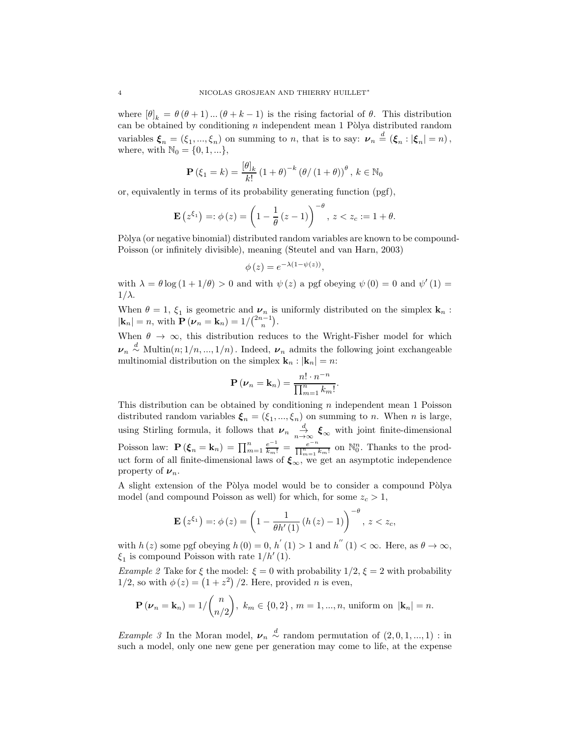where  $[\theta]_k = \theta (\theta + 1) \dots (\theta + k - 1)$  is the rising factorial of  $\theta$ . This distribution can be obtained by conditioning  $n$  independent mean 1 Pòlya distributed random variables  $\xi_n = (\xi_1, ..., \xi_n)$  on summing to n, that is to say:  $\nu_n \stackrel{d}{=} (\xi_n : |\xi_n| = n)$ , where, with  $\mathbb{N}_0 = \{0, 1, ...\},$ 

$$
\mathbf{P}(\xi_1 = k) = \frac{[\theta]_k}{k!} (1 + \theta)^{-k} (\theta/(1 + \theta))^{\theta}, k \in \mathbb{N}_0
$$

or, equivalently in terms of its probability generating function (pgf),

$$
\mathbf{E}(z^{\xi_1}) =: \phi(z) = \left(1 - \frac{1}{\theta}(z - 1)\right)^{-\theta}, z < z_c := 1 + \theta.
$$

Pòlya (or negative binomial) distributed random variables are known to be compound-Poisson (or infinitely divisible), meaning (Steutel and van Harn, 2003)

$$
\phi(z) = e^{-\lambda(1-\psi(z))},
$$

with  $\lambda = \theta \log(1 + 1/\theta) > 0$  and with  $\psi(z)$  a pgf obeying  $\psi(0) = 0$  and  $\psi'(1) = 0$  $1/\lambda$ .

When  $\theta = 1$ ,  $\xi_1$  is geometric and  $\nu_n$  is uniformly distributed on the simplex  $\mathbf{k}_n$ :  $|\mathbf{k}_n| = n$ , with  $\mathbf{P}(\boldsymbol{\nu}_n = \mathbf{k}_n) = 1/{\binom{2n-1}{n}}$ .

When  $\theta \to \infty$ , this distribution reduces to the Wright-Fisher model for which  $\nu_n \stackrel{d}{\sim} \text{Multin}(n; 1/n, ..., 1/n)$ . Indeed,  $\nu_n$  admits the following joint exchangeable multinomial distribution on the simplex  $\mathbf{k}_n : |\mathbf{k}_n| = n$ :

$$
\mathbf{P}(\boldsymbol{\nu}_n = \mathbf{k}_n) = \frac{n! \cdot n^{-n}}{\prod_{m=1}^n k_m!}.
$$

This distribution can be obtained by conditioning  $n$  independent mean 1 Poisson distributed random variables  $\xi_n = (\xi_1, ..., \xi_n)$  on summing to *n*. When *n* is large, using Stirling formula, it follows that  $\nu_n \stackrel{d}{\to} \xi_\infty$  with joint finite-dimensional Poisson law:  $\mathbf{P}(\xi_n = \mathbf{k}_n) = \prod_{m=1}^n \frac{e^{-1}}{k_m!} = \frac{e^{-n}}{\prod_{m=1}^n e^{-n}}$  $\frac{e^{-n}}{\prod_{m=1}^n k_m!}$  on  $\mathbb{N}_0^n$ . Thanks to the product form of all finite-dimensional laws of  $\xi_{\infty}$ , we get an asymptotic independence property of  $\nu_n$ .

A slight extension of the Pòlya model would be to consider a compound Pòlya model (and compound Poisson as well) for which, for some  $z_c > 1$ ,

$$
\mathbf{E}\left(z^{\xi_{1}}\right)=:\phi\left(z\right)=\left(1-\frac{1}{\theta h^{\prime}\left(1\right)}\left(h\left(z\right)-1\right)\right)^{-\theta}, z < z_{c},
$$

with  $h(z)$  some pgf obeying  $h(0) = 0$ ,  $h'(1) > 1$  and  $h''(1) < \infty$ . Here, as  $\theta \to \infty$ ,  $\xi_1$  is compound Poisson with rate  $1/h'(1)$ .

Example 2 Take for  $\xi$  the model:  $\xi = 0$  with probability  $1/2$ ,  $\xi = 2$  with probability  $1/2$ , so with  $\phi(z) = (1+z^2)/2$ . Here, provided *n* is even,

$$
\mathbf{P}\left(\boldsymbol{\nu}_{n}=\mathbf{k}_{n}\right)=1/\binom{n}{n/2},\ k_{m}\in\{0,2\},\ m=1,...,n,\ \text{uniform on}\ \ |\mathbf{k}_{n}|=n.
$$

*Example 3* In the Moran model,  $\nu_n \stackrel{d}{\sim}$  random permutation of  $(2, 0, 1, ..., 1)$ : in such a model, only one new gene per generation may come to life, at the expense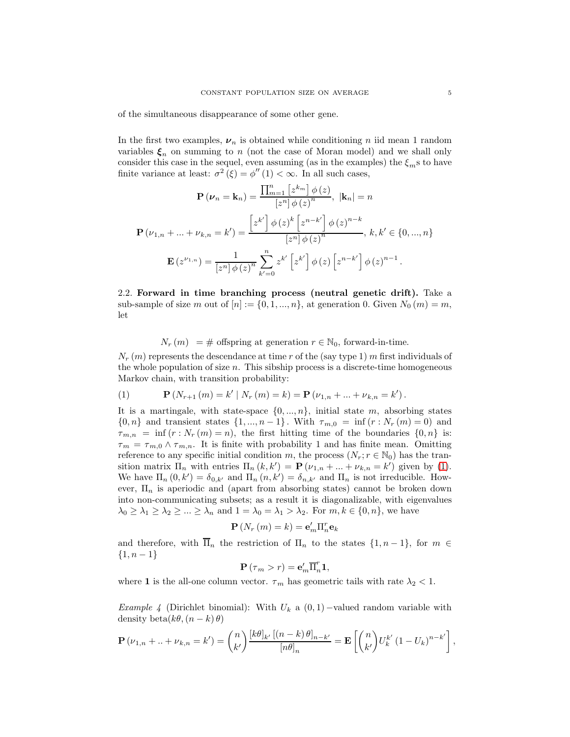of the simultaneous disappearance of some other gene.

In the first two examples,  $\nu_n$  is obtained while conditioning n iid mean 1 random variables  $\xi_n$  on summing to n (not the case of Moran model) and we shall only consider this case in the sequel, even assuming (as in the examples) the  $\xi_m$ s to have finite variance at least:  $\sigma^2(\xi) = \phi''(1) < \infty$ . In all such cases,

$$
\mathbf{P}(\nu_{n} = \mathbf{k}_{n}) = \frac{\prod_{m=1}^{n} [z^{k_{m}}] \phi(z)}{[z^{n}] \phi(z)^{n}}, \ |\mathbf{k}_{n}| = n
$$

$$
\mathbf{P}(\nu_{1,n} + \dots + \nu_{k,n} = k') = \frac{\left[z^{k'}\right] \phi(z)^{k} \left[z^{n-k'}\right] \phi(z)^{n-k}}{[z^{n}] \phi(z)^{n}}, \ k, k' \in \{0, \dots, n\}
$$

$$
\mathbf{E}(z^{\nu_{1,n}}) = \frac{1}{[z^{n}] \phi(z)^{n}} \sum_{k'=0}^{n} z^{k'} \left[z^{k'}\right] \phi(z) \left[z^{n-k'}\right] \phi(z)^{n-1}.
$$

2.2. Forward in time branching process (neutral genetic drift). Take a sub-sample of size m out of  $[n] := \{0, 1, ..., n\}$ , at generation 0. Given  $N_0(m) = m$ , let

 $N_r(m) = #$  offspring at generation  $r \in \mathbb{N}_0$ , forward-in-time.

 $N_r(m)$  represents the descendance at time r of the (say type 1) m first individuals of the whole population of size  $n$ . This sibship process is a discrete-time homogeneous Markov chain, with transition probability:

<span id="page-4-0"></span>(1) 
$$
\mathbf{P}(N_{r+1}(m) = k' | N_r(m) = k) = \mathbf{P}(\nu_{1,n} + ... + \nu_{k,n} = k').
$$

It is a martingale, with state-space  $\{0, ..., n\}$ , initial state m, absorbing states  ${0, n}$  and transient states  ${1, ..., n-1}$ . With  $\tau_{m,0} = \inf (r : N_r(m) = 0)$  and  $\tau_{m,n}$  = inf  $(r : N_r(m) = n)$ , the first hitting time of the boundaries  $\{0,n\}$  is:  $\tau_m = \tau_{m,0} \wedge \tau_{m,n}$ . It is finite with probability 1 and has finite mean. Omitting reference to any specific initial condition m, the process  $(N_r; r \in \mathbb{N}_0)$  has the transition matrix  $\Pi_n$  with entries  $\Pi_n (k, k') = \mathbf{P} (\nu_{1,n} + ... + \nu_{k,n} = k')$  given by [\(1\)](#page-4-0). We have  $\Pi_n(0,k') = \delta_{0,k'}$  and  $\Pi_n(n,k') = \delta_{n,k'}$  and  $\Pi_n$  is not irreducible. However,  $\Pi_n$  is aperiodic and (apart from absorbing states) cannot be broken down into non-communicating subsets; as a result it is diagonalizable, with eigenvalues  $\lambda_0 \geq \lambda_1 \geq \lambda_2 \geq \ldots \geq \lambda_n$  and  $1 = \lambda_0 = \lambda_1 > \lambda_2$ . For  $m, k \in \{0, n\}$ , we have

$$
\mathbf{P}\left(N_r\left(m\right)=k\right)=\mathbf{e}_m^\prime \Pi_n^r \mathbf{e}_k
$$

and therefore, with  $\overline{\Pi}_n$  the restriction of  $\Pi_n$  to the states  $\{1, n-1\}$ , for  $m \in$  $\{1, n-1\}$ 

$$
\mathbf{P}\left( \tau _{m}>r\right) =\mathbf{e}_{m}^{\prime }\overline{\Pi }_{n}^{r}\mathbf{1},
$$

where 1 is the all-one column vector.  $\tau_m$  has geometric tails with rate  $\lambda_2 < 1$ .

Example 4 (Dirichlet binomial): With  $U_k$  a  $(0,1)$  –valued random variable with density beta $(k\theta,(n-k)\theta)$ 

$$
\mathbf{P}\left(\nu_{1,n} + \ldots + \nu_{k,n} = k'\right) = \binom{n}{k'} \frac{\left[k\theta\right]_{k'}}{\left[n\theta\right]_n} \frac{\left[(n-k)\theta\right]_{n-k'}}{\left[n\theta\right]_n} = \mathbf{E}\left[\binom{n}{k'} U_k^{k'} \left(1 - U_k\right)^{n-k'}\right],
$$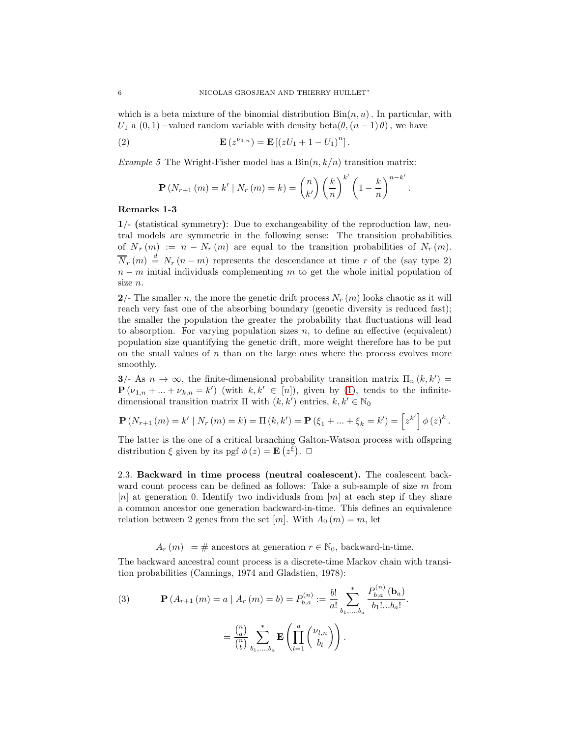which is a beta mixture of the binomial distribution  $Bin(n, u)$ . In particular, with  $U_1$  a  $(0, 1)$  –valued random variable with density beta $(\theta, (n-1)\theta)$ , we have

(2) 
$$
\mathbf{E}(z^{\nu_{1,n}}) = \mathbf{E} [(zU_1 + 1 - U_1)^n].
$$

*Example 5* The Wright-Fisher model has a  $Bin(n, k/n)$  transition matrix:

<span id="page-5-1"></span>
$$
\mathbf{P}\left(N_{r+1}\left(m\right)=k'\mid N_{r}\left(m\right)=k\right)=\binom{n}{k'}\left(\frac{k}{n}\right)^{k'}\left(1-\frac{k}{n}\right)^{n-k'}.
$$

### Remarks 1-3

1/- (statistical symmetry): Due to exchangeability of the reproduction law, neutral models are symmetric in the following sense: The transition probabilities of  $\overline{N}_r(m) := n - N_r(m)$  are equal to the transition probabilities of  $N_r(m)$ .  $\overline{N}_r(m) \stackrel{d}{=} N_r(n-m)$  represents the descendance at time r of the (say type 2)  $n - m$  initial individuals complementing m to get the whole initial population of size n.

 $2/-$  The smaller n, the more the genetic drift process  $N_r(m)$  looks chaotic as it will reach very fast one of the absorbing boundary (genetic diversity is reduced fast); the smaller the population the greater the probability that fluctuations will lead to absorption. For varying population sizes  $n$ , to define an effective (equivalent) population size quantifying the genetic drift, more weight therefore has to be put on the small values of  $n$  than on the large ones where the process evolves more smoothly.

 $3/$ - As  $n \to \infty$ , the finite-dimensional probability transition matrix  $\Pi_n (k, k') =$  $\mathbf{P}(\nu_{1,n} + \ldots + \nu_{k,n} = k')$  (with  $k, k' \in [n]$ ), given by [\(1\)](#page-4-0), tends to the infinitedimensional transition matrix  $\Pi$  with  $(k, k')$  entries,  $k, k' \in \mathbb{N}_0$ 

$$
\mathbf{P}(N_{r+1}(m) = k' | N_r(m) = k) = \Pi(k, k') = \mathbf{P}(\xi_1 + ... + \xi_k = k') = [z^{k'}] \phi(z)^k.
$$

The latter is the one of a critical branching Galton-Watson process with offspring distribution  $\xi$  given by its pgf  $\phi(z) = \mathbf{E}(z^{\bar{\xi}})$ .  $\Box$ 

2.3. Backward in time process (neutral coalescent). The coalescent backward count process can be defined as follows: Take a sub-sample of size m from  $[n]$  at generation 0. Identify two individuals from  $[m]$  at each step if they share a common ancestor one generation backward-in-time. This defines an equivalence relation between 2 genes from the set [m]. With  $A_0(m) = m$ , let

 $A_r(m) = #$  ancestors at generation  $r \in \mathbb{N}_0$ , backward-in-time.

The backward ancestral count process is a discrete-time Markov chain with transition probabilities (Cannings, 1974 and Gladstien, 1978):

<span id="page-5-0"></span>(3) 
$$
\mathbf{P}(A_{r+1}(m) = a | A_r(m) = b) = P_{b,a}^{(n)} := \frac{b!}{a!} \sum_{b_1,...,b_a}^* \frac{P_{b,a}^{(n)}(\mathbf{b}_a)}{b_1!...b_a!}.
$$

$$
= \frac{\binom{n}{a}}{\binom{n}{b}} \sum_{b_1,...,b_a}^* \mathbf{E}\left(\prod_{l=1}^a \binom{\nu_{l,n}}{b_l}\right).
$$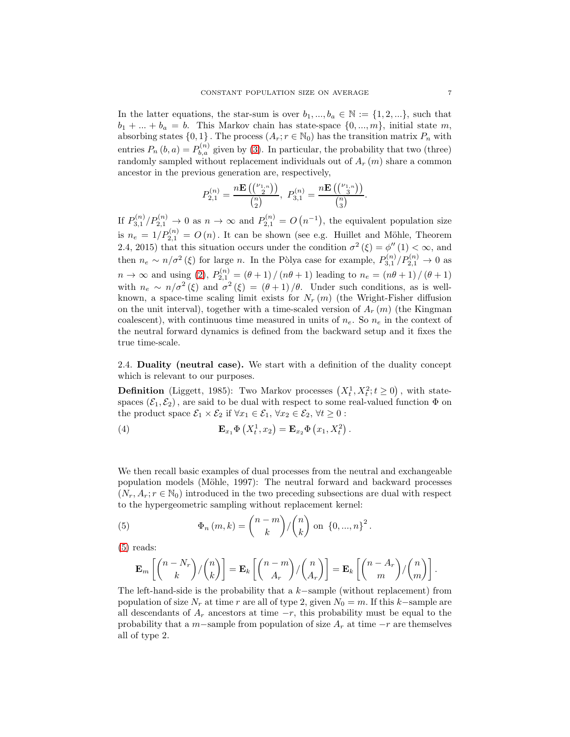In the latter equations, the star-sum is over  $b_1, ..., b_a \in \mathbb{N} := \{1, 2, ...\}$ , such that  $b_1 + ... + b_n = b$ . This Markov chain has state-space  $\{0, ..., m\}$ , initial state m, absorbing states  $\{0, 1\}$ . The process  $(A_r; r \in \mathbb{N}_0)$  has the transition matrix  $P_n$  with entries  $P_n (b, a) = P_{b,a}^{(n)}$  given by [\(3\)](#page-5-0). In particular, the probability that two (three) randomly sampled without replacement individuals out of  $A_r(m)$  share a common ancestor in the previous generation are, respectively,

$$
P_{2,1}^{(n)} = \frac{n \mathbf{E}\left(\binom{\nu_{1,n}}{2}\right)}{\binom{n}{2}}, \ P_{3,1}^{(n)} = \frac{n \mathbf{E}\left(\binom{\nu_{1,n}}{3}\right)}{\binom{n}{3}}.
$$

If  $P_{3,1}^{(n)}/P_{2,1}^{(n)} \to 0$  as  $n \to \infty$  and  $P_{2,1}^{(n)} = O(n^{-1})$ , the equivalent population size is  $n_e = 1/P_{2,1}^{(n)} = O(n)$ . It can be shown (see e.g. Huillet and Möhle, Theorem 2.4, 2015) that this situation occurs under the condition  $\sigma^2(\xi) = \phi''(1) < \infty$ , and then  $n_e \sim n/\sigma^2(\xi)$  for large n. In the Pòlya case for example,  $P_{3,1}^{(n)}/P_{2,1}^{(n)} \to 0$  as  $n \to \infty$  and using [\(2\)](#page-5-1),  $P_{2,1}^{(n)} = (\theta + 1) / (n\theta + 1)$  leading to  $n_e = (n\theta + 1) / (\theta + 1)$ with  $n_e \sim n/\sigma^2(\xi)$  and  $\sigma^2(\xi) = (\theta+1)/\theta$ . Under such conditions, as is wellknown, a space-time scaling limit exists for  $N_r(m)$  (the Wright-Fisher diffusion on the unit interval), together with a time-scaled version of  $A_r(m)$  (the Kingman coalescent), with continuous time measured in units of  $n_e$ . So  $n_e$  in the context of the neutral forward dynamics is defined from the backward setup and it fixes the true time-scale.

2.4. Duality (neutral case). We start with a definition of the duality concept which is relevant to our purposes.

**Definition** (Liggett, 1985): Two Markov processes  $(X_t^1, X_t^2; t \ge 0)$ , with statespaces  $(\mathcal{E}_1, \mathcal{E}_2)$ , are said to be dual with respect to some real-valued function  $\Phi$  on the product space  $\mathcal{E}_1 \times \mathcal{E}_2$  if  $\forall x_1 \in \mathcal{E}_1, \forall x_2 \in \mathcal{E}_2, \forall t \geq 0$ :

(4) 
$$
\mathbf{E}_{x_1} \Phi \left( X_t^1, x_2 \right) = \mathbf{E}_{x_2} \Phi \left( x_1, X_t^2 \right).
$$

We then recall basic examples of dual processes from the neutral and exchangeable population models (M¨ohle, 1997): The neutral forward and backward processes  $(N_r, A_r; r \in \mathbb{N}_0)$  introduced in the two preceding subsections are dual with respect to the hypergeometric sampling without replacement kernel:

(5) 
$$
\Phi_n(m,k) = {n-m \choose k} / {n \choose k} \text{ on } \{0, ..., n\}^2.
$$

[\(5\)](#page-6-0) reads:

<span id="page-6-0"></span>
$$
\mathbf{E}_m\left[\binom{n-N_r}{k}/\binom{n}{k}\right] = \mathbf{E}_k\left[\binom{n-m}{A_r}/\binom{n}{A_r}\right] = \mathbf{E}_k\left[\binom{n-A_r}{m}/\binom{n}{m}\right].
$$

The left-hand-side is the probability that a  $k$ -sample (without replacement) from population of size  $N_r$  at time r are all of type 2, given  $N_0 = m$ . If this k–sample are all descendants of  $A_r$  ancestors at time  $-r$ , this probability must be equal to the probability that a m−sample from population of size  $A_r$  at time  $-r$  are themselves all of type 2.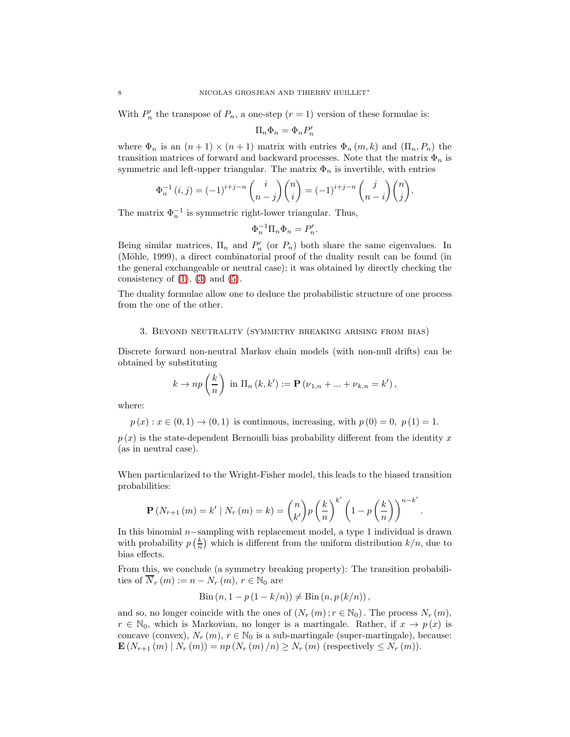With  $P'_n$  the transpose of  $P_n$ , a one-step  $(r = 1)$  version of these formulae is:

$$
\Pi_n\Phi_n=\Phi_nP_n'
$$

where  $\Phi_n$  is an  $(n+1) \times (n+1)$  matrix with entries  $\Phi_n(m, k)$  and  $(\Pi_n, P_n)$  the transition matrices of forward and backward processes. Note that the matrix  $\Phi_n$  is symmetric and left-upper triangular. The matrix  $\Phi_n$  is invertible, with entries

$$
\Phi_n^{-1}(i,j) = (-1)^{i+j-n} \binom{i}{n-j} \binom{n}{i} = (-1)^{i+j-n} \binom{j}{n-i} \binom{n}{j}.
$$

The matrix  $\Phi_n^{-1}$  is symmetric right-lower triangular. Thus,

$$
\Phi_n^{-1} \Pi_n \Phi_n = P'_n.
$$

Being similar matrices,  $\Pi_n$  and  $P'_n$  (or  $P_n$ ) both share the same eigenvalues. In (Möhle, 1999), a direct combinatorial proof of the duality result can be found (in the general exchangeable or neutral case); it was obtained by directly checking the consistency of  $(1)$ ,  $(3)$  and  $(5)$ .

The duality formulae allow one to deduce the probabilistic structure of one process from the one of the other.

### 3. Beyond neutrality (symmetry breaking arising from bias)

Discrete forward non-neutral Markov chain models (with non-null drifts) can be obtained by substituting

$$
k \to np\left(\frac{k}{n}\right)
$$
 in  $\Pi_n (k, k') := \mathbf{P} (\nu_{1,n} + ... + \nu_{k,n} = k')$ ,

where:

$$
p(x) : x \in (0,1) \to (0,1)
$$
 is continuous, increasing, with  $p(0) = 0$ ,  $p(1) = 1$ .

 $p(x)$  is the state-dependent Bernoulli bias probability different from the identity x (as in neutral case).

When particularized to the Wright-Fisher model, this leads to the biased transition probabilities:

$$
\mathbf{P}(N_{r+1}(m) = k' | N_r(m) = k) = \binom{n}{k'} p \left(\frac{k}{n}\right)^{k'} \left(1 - p\left(\frac{k}{n}\right)\right)^{n-k'}.
$$

In this binomial n−sampling with replacement model, a type 1 individual is drawn with probability  $p\left(\frac{k}{n}\right)$  which is different from the uniform distribution  $k/n$ , due to bias effects.

From this, we conclude (a symmetry breaking property): The transition probabilities of  $\overline{N}_r(m) := n - N_r(m)$ ,  $r \in \mathbb{N}_0$  are

Bin 
$$
(n, 1 - p(1 - k/n)) \neq Bin(n, p(k/n))
$$
,

and so, no longer coincide with the ones of  $(N_r(m); r \in \mathbb{N}_0)$ . The process  $N_r(m)$ ,  $r \in \mathbb{N}_0$ , which is Markovian, no longer is a martingale. Rather, if  $x \to p(x)$  is concave (convex),  $N_r(m)$ ,  $r \in \mathbb{N}_0$  is a sub-martingale (super-martingale), because:  $\mathbf{E}(N_{r+1}(m) | N_r(m)) = np(N_r(m)/n) \geq N_r(m)$  (respectively  $\leq N_r(m)$ ).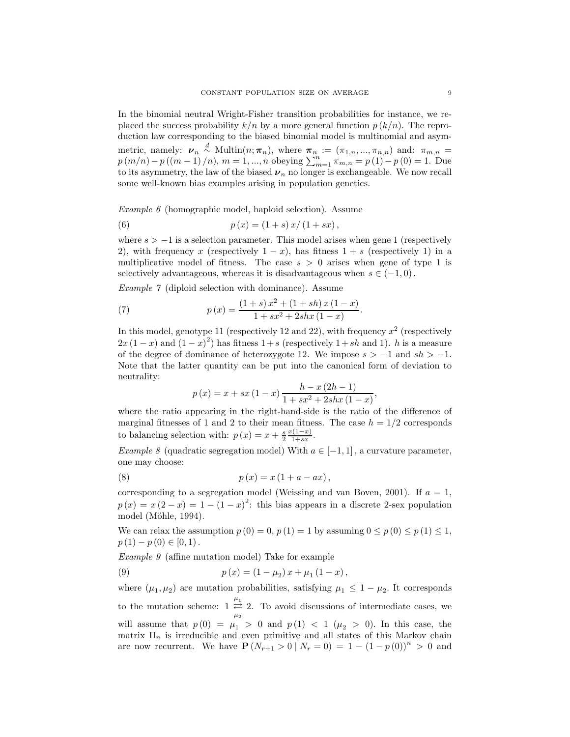In the binomial neutral Wright-Fisher transition probabilities for instance, we replaced the success probability  $k/n$  by a more general function  $p(k/n)$ . The reproduction law corresponding to the biased binomial model is multinomial and asymmetric, namely:  $v_n \stackrel{d}{\sim} \text{Multin}(n; \pi_n)$ , where  $\pi_n := (\pi_{1,n}, ..., \pi_{n,n})$  and:  $\pi_{m,n} =$  $p(m/n) - p((m-1)/n), m = 1, ..., n$  obeying  $\sum_{m=1}^{n} \pi_{m,n} = p(1) - p(0) = 1$ . Due to its asymmetry, the law of the biased  $\nu_n$  no longer is exchangeable. We now recall some well-known bias examples arising in population genetics.

Example 6 (homographic model, haploid selection). Assume

(6) 
$$
p(x) = (1 + s) x / (1 + sx),
$$

where  $s > -1$  is a selection parameter. This model arises when gene 1 (respectively 2), with frequency x (respectively  $1 - x$ ), has fitness  $1 + s$  (respectively 1) in a multiplicative model of fitness. The case  $s > 0$  arises when gene of type 1 is selectively advantageous, whereas it is disadvantageous when  $s \in (-1,0)$ .

Example 7 (diploid selection with dominance). Assume

(7) 
$$
p(x) = \frac{(1+s)x^2 + (1+sh)x(1-x)}{1+sx^2+2shx(1-x)}.
$$

In this model, genotype 11 (respectively 12 and 22), with frequency  $x^2$  (respectively  $2x(1-x)$  and  $(1-x)^2$ ) has fitness  $1+s$  (respectively  $1+sh$  and 1). h is a measure of the degree of dominance of heterozygote 12. We impose  $s > -1$  and  $sh > -1$ . Note that the latter quantity can be put into the canonical form of deviation to neutrality:

$$
p(x) = x + sx(1-x)\frac{h - x(2h - 1)}{1 + sx^2 + 2shx(1-x)},
$$

where the ratio appearing in the right-hand-side is the ratio of the difference of marginal fitnesses of 1 and 2 to their mean fitness. The case  $h = 1/2$  corresponds to balancing selection with:  $p(x) = x + \frac{s}{2}$  $x(1-x)$  $\frac{1-x}{1+sx}$ .

Example 8 (quadratic segregation model) With  $a \in [-1, 1]$ , a curvature parameter, one may choose:

(8) 
$$
p(x) = x(1 + a - ax),
$$

corresponding to a segregation model (Weissing and van Boven, 2001). If  $a = 1$ ,  $p(x) = x(2-x) = 1 - (1-x)^2$ : this bias appears in a discrete 2-sex population model (Möhle, 1994).

We can relax the assumption  $p(0) = 0$ ,  $p(1) = 1$  by assuming  $0 \le p(0) \le p(1) \le 1$ ,  $p(1) - p(0) \in [0, 1)$ .

Example 9 (affine mutation model) Take for example

(9) 
$$
p(x) = (1 - \mu_2) x + \mu_1 (1 - x),
$$

where  $(\mu_1, \mu_2)$  are mutation probabilities, satisfying  $\mu_1 \leq 1 - \mu_2$ . It corresponds to the mutation scheme:  $1 \stackrel{\mu_1}{\rightleftarrows} 2$ . To avoid discussions of intermediate cases, we  $\mu_2$ will assume that  $p(0) = \mu_1 > 0$  and  $p(1) < 1$  ( $\mu_2 > 0$ ). In this case, the matrix  $\Pi_n$  is irreducible and even primitive and all states of this Markov chain are now recurrent. We have  $P(N_{r+1} > 0 | N_r = 0) = 1 - (1 - p(0))^n > 0$  and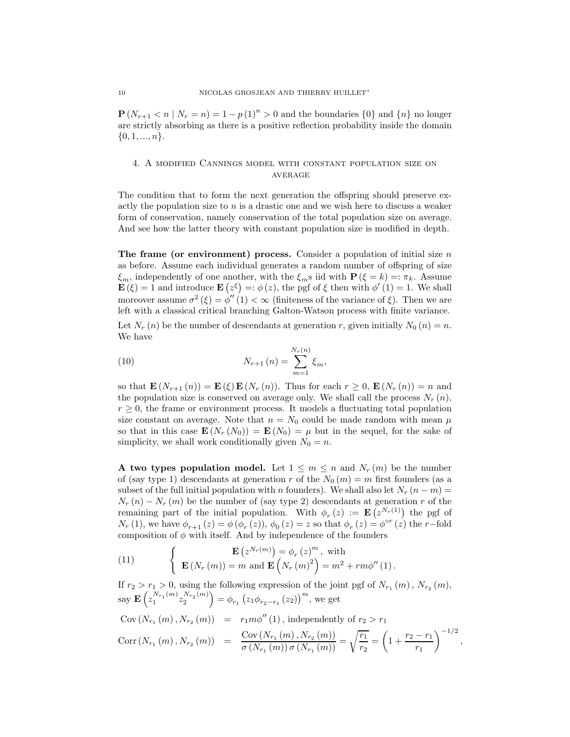$\mathbf{P}(N_{r+1} < n \mid N_r = n) = 1 - p(1)^n > 0$  and the boundaries  $\{0\}$  and  $\{n\}$  no longer are strictly absorbing as there is a positive reflection probability inside the domain  $\{0, 1, ..., n\}.$ 

# 4. A modified Cannings model with constant population size on **AVERAGE**

The condition that to form the next generation the offspring should preserve exactly the population size to  $n$  is a drastic one and we wish here to discuss a weaker form of conservation, namely conservation of the total population size on average. And see how the latter theory with constant population size is modified in depth.

The frame (or environment) process. Consider a population of initial size  $n$ as before. Assume each individual generates a random number of offspring of size  $\xi_m$ , independently of one another, with the  $\xi_m$ s iid with  $\mathbf{P}(\xi = k) =: \pi_k$ . Assume  $\mathbf{E}(\xi) = 1$  and introduce  $\mathbf{E}(z^{\xi}) = \phi(z)$ , the pgf of  $\xi$  then with  $\phi'(1) = 1$ . We shall moreover assume  $\sigma^2(\xi) = \phi''(1) < \infty$  (finiteness of the variance of  $\xi$ ). Then we are left with a classical critical branching Galton-Watson process with finite variance.

Let  $N_r(n)$  be the number of descendants at generation r, given initially  $N_0(n) = n$ . We have

(10) 
$$
N_{r+1}(n) = \sum_{m=1}^{N_r(n)} \xi_m,
$$

so that  $\mathbf{E}(N_{r+1}(n)) = \mathbf{E}(\xi) \mathbf{E}(N_r(n))$ . Thus for each  $r \geq 0$ ,  $\mathbf{E}(N_r(n)) = n$  and the population size is conserved on average only. We shall call the process  $N_r(n)$ ,  $r \geq 0$ , the frame or environment process. It models a fluctuating total population size constant on average. Note that  $n = N_0$  could be made random with mean  $\mu$ so that in this case  $\mathbf{E}(N_r(N_0)) = \mathbf{E}(N_0) = \mu$  but in the sequel, for the sake of simplicity, we shall work conditionally given  $N_0 = n$ .

A two types population model. Let  $1 \leq m \leq n$  and  $N_r(m)$  be the number of (say type 1) descendants at generation r of the  $N_0$  (m) = m first founders (as a subset of the full initial population with n founders). We shall also let  $N_r$   $(n - m)$  $N_r(n) - N_r(m)$  be the number of (say type 2) descendants at generation r of the remaining part of the initial population. With  $\phi_r(z) := \mathbf{E}(z^{N_r(1)})$  the pgf of  $N_r(1)$ , we have  $\phi_{r+1}(z) = \phi(\phi_r(z))$ ,  $\phi_0(z) = z$  so that  $\phi_r(z) = \phi^{\circ r}(z)$  the r-fold composition of  $\phi$  with itself. And by independence of the founders

(11) 
$$
\begin{cases} \mathbf{E}\left(z^{N_r(m)}\right) = \phi_r\left(z\right)^m, \text{ with} \\ \mathbf{E}\left(N_r\left(m\right)\right) = m \text{ and } \mathbf{E}\left(N_r\left(m\right)^2\right) = m^2 + rm\phi''\left(1\right). \end{cases}
$$

If  $r_2 > r_1 > 0$ , using the following expression of the joint pgf of  $N_{r_1}(m)$ ,  $N_{r_2}(m)$ , say  $\mathbf{E}\left(z_1^{N_{r_1}(m)}\right)$  $\frac{N_{r_1}(m)}{N_2} \frac{N_{r_2}(m)}{2}$  $\left( \frac{N_{r_2}(m)}{2} \right) = \phi_{r_1} \left( z_1 \phi_{r_2 - r_1} \left( z_2 \right) \right)^m$ , we get  $Cov(N_{r_1}(m), N_{r_2}(m)) = r_1 m \phi''(1)$ , independently of  $r_2 > r_1$ 

$$
Corr(N_{r_1}(m), N_{r_2}(m)) = \frac{Cov(N_{r_1}(m), N_{r_2}(m))}{\sigma(N_{r_1}(m)) \sigma(N_{r_1}(m))} = \sqrt{\frac{r_1}{r_2}} = \left(1 + \frac{r_2 - r_1}{r_1}\right)^{-1/2},
$$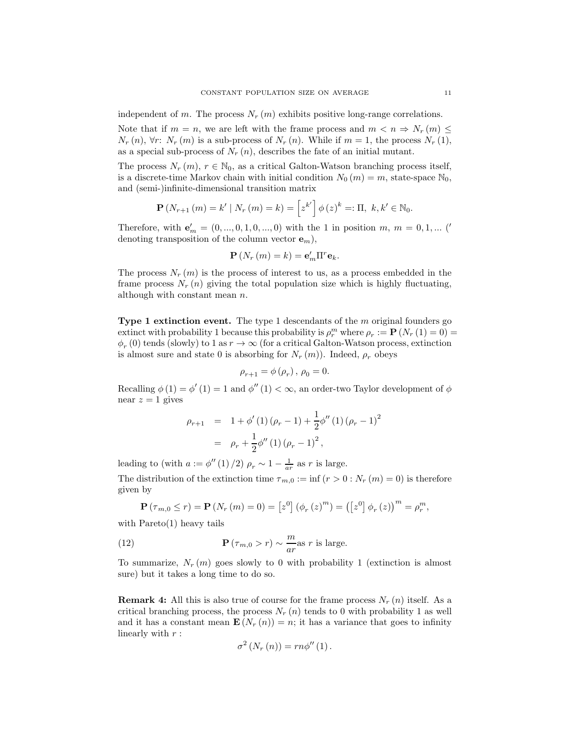independent of m. The process  $N_r(m)$  exhibits positive long-range correlations.

Note that if  $m = n$ , we are left with the frame process and  $m < n \Rightarrow N_r(m) \leq$  $N_r(n)$ ,  $\forall r: N_r(m)$  is a sub-process of  $N_r(n)$ . While if  $m = 1$ , the process  $N_r(1)$ , as a special sub-process of  $N_r(n)$ , describes the fate of an initial mutant.

The process  $N_r(m)$ ,  $r \in \mathbb{N}_0$ , as a critical Galton-Watson branching process itself, is a discrete-time Markov chain with initial condition  $N_0$   $(m) = m$ , state-space  $\mathbb{N}_0$ , and (semi-)infinite-dimensional transition matrix

$$
\mathbf{P}(N_{r+1}(m) = k' | N_r(m) = k) = [z^{k'}] \phi(z)^k =: \Pi, k, k' \in \mathbb{N}_0.
$$

Therefore, with  $e'_{m} = (0, ..., 0, 1, 0, ..., 0)$  with the 1 in position  $m, m = 0, 1, ...$  ( denoting transposition of the column vector  $e_m$ ),

$$
\mathbf{P}\left(N_r\left(m\right)=k\right)=\mathbf{e}_m'\Pi^r\mathbf{e}_k.
$$

The process  $N_r(m)$  is the process of interest to us, as a process embedded in the frame process  $N_r(n)$  giving the total population size which is highly fluctuating, although with constant mean n.

**Type 1 extinction event.** The type 1 descendants of the  $m$  original founders go extinct with probability 1 because this probability is  $\rho_r^m$  where  $\rho_r := \mathbf{P}(N_r(1) = 0)$  $\phi_r$  (0) tends (slowly) to 1 as  $r \to \infty$  (for a critical Galton-Watson process, extinction is almost sure and state 0 is absorbing for  $N_r(m)$ ). Indeed,  $\rho_r$  obeys

$$
\rho_{r+1} = \phi(\rho_r), \, \rho_0 = 0.
$$

Recalling  $\phi(1) = \phi'(1) = 1$  and  $\phi''(1) < \infty$ , an order-two Taylor development of  $\phi$ near  $z = 1$  gives

$$
\rho_{r+1} = 1 + \phi'(1) (\rho_r - 1) + \frac{1}{2} \phi''(1) (\rho_r - 1)^2
$$
  
= 
$$
\rho_r + \frac{1}{2} \phi''(1) (\rho_r - 1)^2,
$$

leading to (with  $a := \phi''(1)/2$ )  $\rho_r \sim 1 - \frac{1}{ar}$  as r is large.

The distribution of the extinction time  $\tau_{m,0} := \inf (r > 0 : N_r(m) = 0)$  is therefore given by

$$
\mathbf{P}(\tau_{m,0} \le r) = \mathbf{P}(N_r(m) = 0) = [z^0] (\phi_r(z)^m) = ([z^0] \phi_r(z))^{m} = \rho_r^{m},
$$

with  $Pareto(1)$  heavy tails

(12) 
$$
\mathbf{P}(\tau_{m,0} > r) \sim \frac{m}{ar} \text{as } r \text{ is large.}
$$

To summarize,  $N_r(m)$  goes slowly to 0 with probability 1 (extinction is almost sure) but it takes a long time to do so.

**Remark 4:** All this is also true of course for the frame process  $N_r(n)$  itself. As a critical branching process, the process  $N_r(n)$  tends to 0 with probability 1 as well and it has a constant mean  $\mathbf{E}(N_r(n)) = n$ ; it has a variance that goes to infinity linearly with  $r$ :

$$
\sigma^{2}\left(N_{r}\left(n\right)\right)=rn\phi''\left(1\right).
$$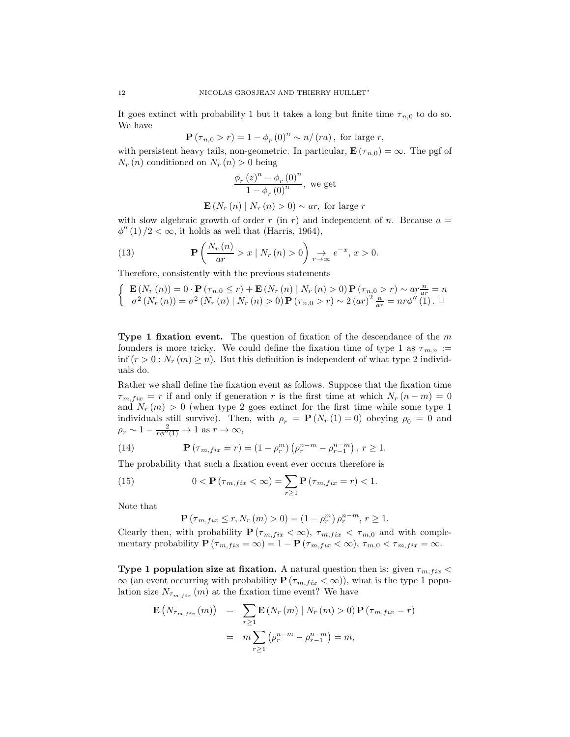It goes extinct with probability 1 but it takes a long but finite time  $\tau_{n,0}$  to do so. We have

$$
\mathbf{P}(\tau_{n,0} > r) = 1 - \phi_r(0)^n \sim n/(ra), \text{ for large } r,
$$

with persistent heavy tails, non-geometric. In particular,  $\mathbf{E}(\tau_{n,0}) = \infty$ . The pgf of  $N_r(n)$  conditioned on  $N_r(n) > 0$  being

$$
\frac{\phi_r(z)^n - \phi_r(0)^n}{1 - \phi_r(0)^n}
$$
, we get

 $\mathbf{E}(N_r(n) | N_r(n) > 0) \sim ar$ , for large r

with slow algebraic growth of order r (in r) and independent of n. Because  $a =$  $\phi''(1)/2 < \infty$ , it holds as well that (Harris, 1964),

(13) 
$$
\mathbf{P}\left(\frac{N_r(n)}{ar} > x \mid N_r(n) > 0\right) \underset{r \to \infty}{\to} e^{-x}, x > 0.
$$

Therefore, consistently with the previous statements

$$
\begin{cases} \mathbf{E}\left(N_r\left(n\right)\right) = 0 \cdot \mathbf{P}\left(\tau_{n,0} \le r\right) + \mathbf{E}\left(N_r\left(n\right) \mid N_r\left(n\right) > 0\right) \mathbf{P}\left(\tau_{n,0} > r\right) \sim ar\frac{n}{ar} = n \\ \sigma^2\left(N_r\left(n\right)\right) = \sigma^2\left(N_r\left(n\right) \mid N_r\left(n\right) > 0\right) \mathbf{P}\left(\tau_{n,0} > r\right) \sim 2\left(ar\right)^2 \frac{n}{ar} = nr\phi''\left(1\right). \ \Box \end{cases}
$$

**Type 1 fixation event.** The question of fixation of the descendance of the  $m$ founders is more tricky. We could define the fixation time of type 1 as  $\tau_{m,n}$  := inf  $(r > 0 : N_r(m) \geq n)$ . But this definition is independent of what type 2 individuals do.

Rather we shall define the fixation event as follows. Suppose that the fixation time  $\tau_{m,fix} = r$  if and only if generation r is the first time at which  $N_r(n-m) = 0$ and  $N_r(m) > 0$  (when type 2 goes extinct for the first time while some type 1 individuals still survive). Then, with  $\rho_r = \mathbf{P}(N_r(1) = 0)$  obeying  $\rho_0 = 0$  and  $\rho_r \sim 1 - \frac{2}{r\phi''(1)} \to 1 \text{ as } r \to \infty,$ 

<span id="page-11-0"></span>(14) 
$$
\mathbf{P}(\tau_{m,fix}=r)=(1-\rho_r^m)\left(\rho_r^{n-m}-\rho_{r-1}^{n-m}\right), r\geq 1.
$$

The probability that such a fixation event ever occurs therefore is

(15) 
$$
0 < \mathbf{P}(\tau_{m,fix} < \infty) = \sum_{r \ge 1} \mathbf{P}(\tau_{m,fix} = r) < 1.
$$

Note that

 $\mathbf{P}(\tau_{m,fix}\leq r, N_r(m) > 0) = (1-\rho_r^m)\,\rho_r^{n-m}, r \geq 1.$ 

Clearly then, with probability  $P(\tau_{m,fix} < \infty)$ ,  $\tau_{m,fix} < \tau_{m,0}$  and with complementary probability  $\mathbf{P}(\tau_{m,fix}=\infty)=1-\mathbf{P}(\tau_{m,fix}<\infty), \tau_{m,0}<\tau_{m,fix}=\infty.$ 

Type 1 population size at fixation. A natural question then is: given  $\tau_{m,fix}$  <  $\infty$  (an event occurring with probability  $\mathbf{P}(\tau_{m,fix}<\infty)$ ), what is the type 1 population size  $N_{\tau_{m,fix}}(m)$  at the fixation time event? We have

$$
\mathbf{E}\left(N_{\tau_{m,fix}}\left(m\right)\right) = \sum_{r\geq 1} \mathbf{E}\left(N_r\left(m\right) \mid N_r\left(m\right) > 0\right) \mathbf{P}\left(\tau_{m,fix} = r\right)
$$
\n
$$
= m \sum_{r\geq 1} \left(\rho_r^{n-m} - \rho_{r-1}^{n-m}\right) = m,
$$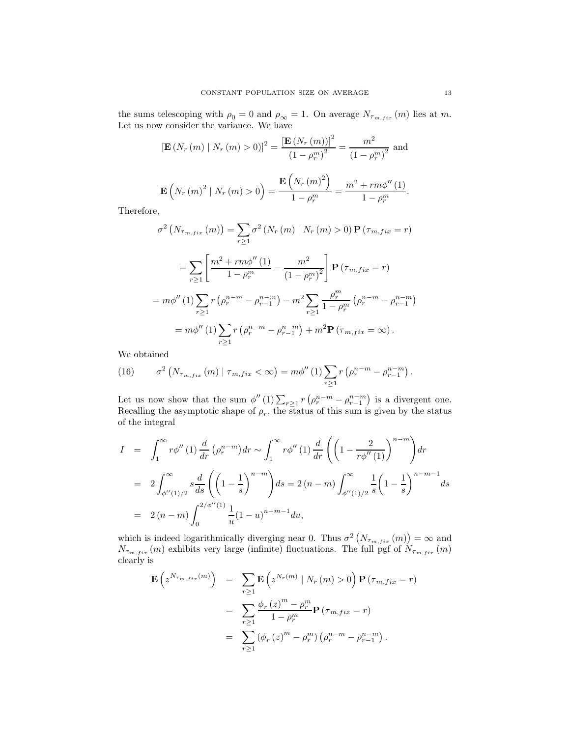the sums telescoping with  $\rho_0 = 0$  and  $\rho_\infty = 1$ . On average  $N_{\tau_{m,fix}}(m)$  lies at m. Let us now consider the variance. We have

$$
\left[\mathbf{E}\left(N_r\left(m\right) \mid N_r\left(m\right) > 0\right)\right]^2 = \frac{\left[\mathbf{E}\left(N_r\left(m\right)\right)\right]^2}{\left(1 - \rho_r^m\right)^2} = \frac{m^2}{\left(1 - \rho_r^m\right)^2} \text{ and}
$$
\n
$$
\mathbf{E}\left(N_r\left(m\right)^2 \mid N_r\left(m\right) > 0\right) = \frac{\mathbf{E}\left(N_r\left(m\right)^2\right)}{1 - \rho_r^m} = \frac{m^2 + rm\phi''\left(1\right)}{1 - \rho_r^m}.
$$

Therefore,

$$
\sigma^{2} \left( N_{\tau_{m, fix}} \left( m \right) \right) = \sum_{r \geq 1} \sigma^{2} \left( N_{r} \left( m \right) \mid N_{r} \left( m \right) > 0 \right) \mathbf{P} \left( \tau_{m, fix} = r \right)
$$

$$
= \sum_{r \geq 1} \left[ \frac{m^{2} + r m \phi'' \left( 1 \right)}{1 - \rho_{r}^{m}} - \frac{m^{2}}{\left( 1 - \rho_{r}^{m} \right)^{2}} \right] \mathbf{P} \left( \tau_{m, fix} = r \right)
$$

$$
= m \phi'' \left( 1 \right) \sum_{r \geq 1} r \left( \rho_{r}^{n-m} - \rho_{r-1}^{n-m} \right) - m^{2} \sum_{r \geq 1} \frac{\rho_{r}^{m}}{1 - \rho_{r}^{m}} \left( \rho_{r}^{n-m} - \rho_{r-1}^{n-m} \right)
$$

$$
= m \phi'' \left( 1 \right) \sum_{r \geq 1} r \left( \rho_{r}^{n-m} - \rho_{r-1}^{n-m} \right) + m^{2} \mathbf{P} \left( \tau_{m, fix} = \infty \right).
$$

We obtained

(16) 
$$
\sigma^2 \left( N_{\tau_{m,fix}}(m) \mid \tau_{m,fix} < \infty \right) = m\phi''(1) \sum_{r \ge 1} r \left( \rho_r^{n-m} - \rho_{r-1}^{n-m} \right).
$$

Let us now show that the sum  $\phi''(1) \sum_{r\geq 1} r \left( \rho_r^{n-m} - \rho_{r-1}^{n-m} \right)$  is a divergent one. Recalling the asymptotic shape of  $\rho_r$ , the status of this sum is given by the status of the integral

$$
I = \int_{1}^{\infty} r\phi''(1) \frac{d}{dr} \left( \rho_r^{n-m} \right) dr \sim \int_{1}^{\infty} r\phi''(1) \frac{d}{dr} \left( \left( 1 - \frac{2}{r\phi''(1)} \right)^{n-m} \right) dr
$$
  
\n
$$
= 2 \int_{\phi''(1)/2}^{\infty} s \frac{d}{ds} \left( \left( 1 - \frac{1}{s} \right)^{n-m} \right) ds = 2(n-m) \int_{\phi''(1)/2}^{\infty} \frac{1}{s} \left( 1 - \frac{1}{s} \right)^{n-m-1} ds
$$
  
\n
$$
= 2(n-m) \int_{0}^{2/\phi''(1)} \frac{1}{u} (1-u)^{n-m-1} du,
$$

which is indeed logarithmically diverging near 0. Thus  $\sigma^2 (N_{\tau_{m,fix}}(m)) = \infty$  and  $N_{\tau_{m,fix}}(m)$  exhibits very large (infinite) fluctuations. The full pgf of  $N_{\tau_{m,fix}}(m)$ clearly is

$$
\mathbf{E}\left(z^{N_{\tau_{m,fix}}(m)}\right) = \sum_{r\geq 1} \mathbf{E}\left(z^{N_r(m)} \mid N_r(m) > 0\right) \mathbf{P}\left(\tau_{m,fix} = r\right)
$$

$$
= \sum_{r\geq 1} \frac{\phi_r(z)^m - \rho_r^m}{1 - \rho_r^m} \mathbf{P}\left(\tau_{m,fix} = r\right)
$$

$$
= \sum_{r\geq 1} \left(\phi_r(z)^m - \rho_r^m\right) \left(\rho_r^{n-m} - \rho_{r-1}^{n-m}\right).
$$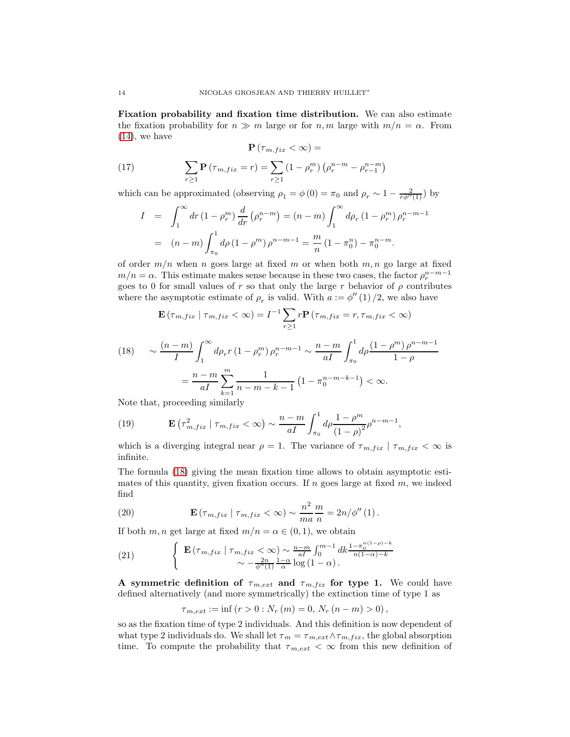Fixation probability and fixation time distribution. We can also estimate the fixation probability for  $n \gg m$  large or for  $n, m$  large with  $m/n = \alpha$ . From  $(14)$ , we have

$$
\mathbf{P}\left( \tau _{m,fix}<\infty \right) =
$$

(17) 
$$
\sum_{r\geq 1} \mathbf{P} \left( \tau_{m,fix} = r \right) = \sum_{r\geq 1} \left( 1 - \rho_r^m \right) \left( \rho_r^{n-m} - \rho_{r-1}^{n-m} \right)
$$

which can be approximated (observing  $\rho_1 = \phi(0) = \pi_0$  and  $\rho_r \sim 1 - \frac{2}{r\phi''(1)}$ ) by

<span id="page-13-1"></span>
$$
I = \int_{1}^{\infty} dr \left(1 - \rho_r^{m}\right) \frac{d}{dr} \left(\rho_r^{n-m}\right) = (n-m) \int_{1}^{\infty} d\rho_r \left(1 - \rho_r^{m}\right) \rho_r^{n-m-1}
$$
  
=  $(n-m) \int_{\pi_0}^{1} d\rho \left(1 - \rho^{m}\right) \rho^{n-m-1} = \frac{m}{n} \left(1 - \pi_0^{n}\right) - \pi_0^{n-m}.$ 

of order  $m/n$  when n goes large at fixed m or when both  $m, n$  go large at fixed  $m/n = \alpha$ . This estimate makes sense because in these two cases, the factor  $\rho_r^{n-m-1}$ goes to 0 for small values of r so that only the large r behavior of  $\rho$  contributes where the asymptotic estimate of  $\rho_r$  is valid. With  $a := \phi''(1)/2$ , we also have

$$
\mathbf{E}(\tau_{m,fix} | \tau_{m,fix} < \infty) = I^{-1} \sum_{r \ge 1} r \mathbf{P}(\tau_{m,fix} = r, \tau_{m,fix} < \infty)
$$

<span id="page-13-0"></span>(18) 
$$
\sim \frac{(n-m)}{I} \int_1^{\infty} d\rho_r r (1 - \rho_r^m) \rho_r^{n-m-1} \sim \frac{n-m}{aI} \int_{\pi_0}^1 d\rho \frac{(1 - \rho^m) \rho^{n-m-1}}{1 - \rho}
$$

$$
= \frac{n-m}{aI} \sum_{k=1}^m \frac{1}{n-m-k-1} (1 - \pi_0^{n-m-k-1}) < \infty.
$$

Note that, proceeding similarly

(19) 
$$
\mathbf{E}\left(\tau_{m,fix}^2 \mid \tau_{m,fix} < \infty\right) \sim \frac{n-m}{aI} \int_{\pi_0}^1 d\rho \frac{1-\rho^m}{(1-\rho)^2} \rho^{n-m-1},
$$

which is a diverging integral near  $\rho = 1$ . The variance of  $\tau_{m,fix} | \tau_{m,fix} < \infty$  is infinite.

The formula [\(18\)](#page-13-0) giving the mean fixation time allows to obtain asymptotic estimates of this quantity, given fixation occurs. If  $n$  goes large at fixed  $m$ , we indeed find

(20) 
$$
\mathbf{E} \left( \tau_{m,fix} \mid \tau_{m,fix} < \infty \right) \sim \frac{n^2}{ma} \frac{m}{n} = 2n/\phi'' \left( 1 \right).
$$

If both m, n get large at fixed  $m/n = \alpha \in (0, 1)$ , we obtain

(21) 
$$
\begin{cases} \mathbf{E} \left( \tau_{m,fix} \mid \tau_{m,fix} < \infty \right) \sim \frac{n-m}{aI} \int_0^{m-1} dk \frac{1-\pi_0^{n(1-\rho)-k}}{n(1-\alpha)-k} \\ \sim -\frac{2n}{\phi''(1)} \frac{1-\alpha}{\alpha} \log \left( 1-\alpha \right). \end{cases}
$$

A symmetric definition of  $\tau_{m,ext}$  and  $\tau_{m,fix}$  for type 1. We could have defined alternatively (and more symmetrically) the extinction time of type 1 as

$$
\tau_{m,ext} := \inf (r > 0 : N_r(m) = 0, N_r(n-m) > 0),
$$

so as the fixation time of type 2 individuals. And this definition is now dependent of what type 2 individuals do. We shall let  $\tau_m = \tau_{m,ext} \wedge \tau_{m,fix}$ , the global absorption time. To compute the probability that  $\tau_{m,ext} < \infty$  from this new definition of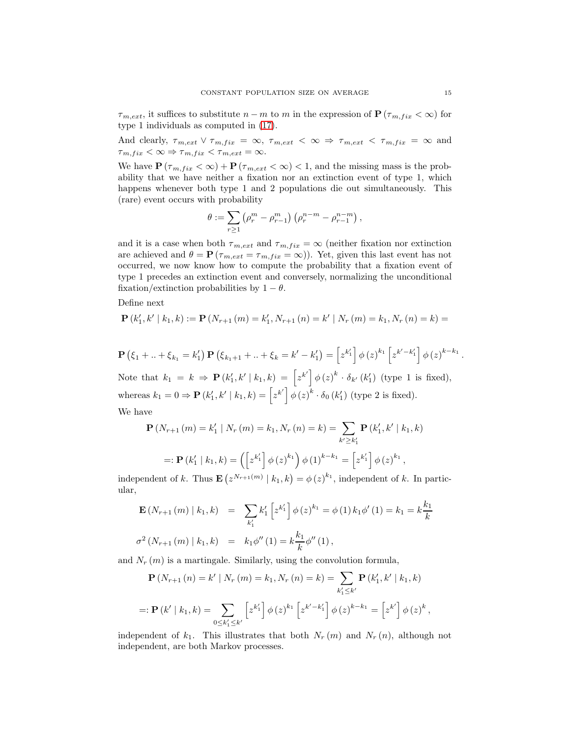$\tau_{m,ext}$ , it suffices to substitute  $n-m$  to m in the expression of  $\mathbf{P}(\tau_{m,fix}<\infty)$  for type 1 individuals as computed in [\(17\)](#page-13-1).

And clearly,  $\tau_{m,ext} \vee \tau_{m,fix} = \infty$ ,  $\tau_{m,ext} < \infty \Rightarrow \tau_{m,ext} < \tau_{m,fix} = \infty$  and  $\tau_{m,fix}<\infty \Rightarrow \tau_{m,fix}<\tau_{m,ext}=\infty.$ 

We have  $P(\tau_{m,fix}<\infty)+P(\tau_{m,ext}<\infty)<1$ , and the missing mass is the probability that we have neither a fixation nor an extinction event of type 1, which happens whenever both type 1 and 2 populations die out simultaneously. This (rare) event occurs with probability

$$
\theta := \sum_{r \ge 1} (\rho_r^m - \rho_{r-1}^m) (\rho_r^{n-m} - \rho_{r-1}^{n-m}),
$$

and it is a case when both  $\tau_{m,ext}$  and  $\tau_{m,fix} = \infty$  (neither fixation nor extinction are achieved and  $\theta = \mathbf{P}(\tau_{m,ext} = \tau_{m,fix} = \infty)$ ). Yet, given this last event has not occurred, we now know how to compute the probability that a fixation event of type 1 precedes an extinction event and conversely, normalizing the unconditional fixation/extinction probabilities by  $1 - \theta$ .

Define next

$$
\mathbf{P}(k'_1, k' \mid k_1, k) := \mathbf{P}(N_{r+1}(m) = k'_1, N_{r+1}(n) = k' \mid N_r(m) = k_1, N_r(n) = k) =
$$

$$
\mathbf{P}(\xi_1 + \ldots + \xi_{k_1} = k'_1) \mathbf{P}(\xi_{k_1+1} + \ldots + \xi_k = k' - k'_1) = \left[ z^{k'_1} \right] \phi(z)^{k_1} \left[ z^{k'-k'_1} \right] \phi(z)^{k-k_1}.
$$

Note that  $k_1 = k \Rightarrow \mathbf{P}(k'_1, k' | k_1, k) = \left[z^{k'}\right] \phi(z)^k \cdot \delta_{k'}(k'_1)$  (type 1 is fixed), whereas  $k_1 = 0 \Rightarrow \mathbf{P}(k'_1, k' | k_1, k) = \left[z^{k'}\right] \phi(z)^k \cdot \delta_0(k'_1)$  (type 2 is fixed). We have

$$
\mathbf{P}(N_{r+1}(m) = k'_1 \mid N_r(m) = k_1, N_r(n) = k) = \sum_{k' \ge k'_1} \mathbf{P}(k'_1, k' \mid k_1, k)
$$

$$
=: \mathbf{P}(k'_1 \mid k_1, k) = (\left[z^{k'_1}\right] \phi(z)^{k_1}) \phi(1)^{k - k_1} = \left[z^{k'_1}\right] \phi(z)^{k_1},
$$

independent of k. Thus  $\mathbf{E} (z^{N_{r+1}(m)} | k_1, k) = \phi (z)^{k_1}$ , independent of k. In particular,

$$
\mathbf{E}(N_{r+1}(m) | k_1, k) = \sum_{k'_1} k'_1 \left[ z^{k'_1} \right] \phi(z)^{k_1} = \phi(1) k_1 \phi'(1) = k_1 = k \frac{k_1}{k}
$$
  

$$
\sigma^2 (N_{r+1}(m) | k_1, k) = k_1 \phi''(1) = k \frac{k_1}{k} \phi''(1),
$$

and  $N_r(m)$  is a martingale. Similarly, using the convolution formula,

$$
\mathbf{P}(N_{r+1}(n) = k' | N_r(m) = k_1, N_r(n) = k) = \sum_{k'_1 \le k'} \mathbf{P}(k'_1, k' | k_1, k)
$$
  
=:  $\mathbf{P}(k' | k_1, k) = \sum_{0 \le k'_1 \le k'} \left[ z^{k'_1} \right] \phi(z)^{k_1} \left[ z^{k'-k'_1} \right] \phi(z)^{k-k_1} = \left[ z^{k'} \right] \phi(z)^k,$ 

independent of  $k_1$ . This illustrates that both  $N_r(m)$  and  $N_r(n)$ , although not independent, are both Markov processes.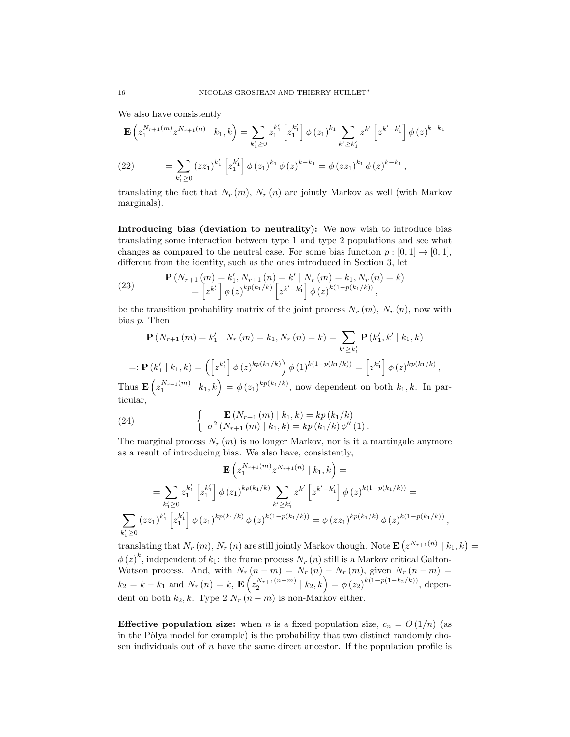We also have consistently

$$
\mathbf{E}\left(z_1^{N_{r+1}(m)}z^{N_{r+1}(n)}\mid k_1,k\right) = \sum_{k'_1\geq 0} z_1^{k'_1} \left[z_1^{k'_1}\right] \phi(z_1)^{k_1} \sum_{k'\geq k'_1} z^{k'} \left[z^{k'-k'_1}\right] \phi(z)^{k-k_1}
$$
\n
$$
(22) \qquad \qquad = \sum_{k'_1\geq 0} (zz_1)^{k'_1} \left[z_1^{k'_1}\right] \phi(z_1)^{k_1} \phi(z)^{k-k_1} = \phi(zz_1)^{k_1} \phi(z)^{k-k_1},
$$

translating the fact that  $N_r(m)$ ,  $N_r(n)$  are jointly Markov as well (with Markov marginals).

Introducing bias (deviation to neutrality): We now wish to introduce bias translating some interaction between type 1 and type 2 populations and see what changes as compared to the neutral case. For some bias function  $p : [0,1] \rightarrow [0,1]$ , different from the identity, such as the ones introduced in Section 3, let

(23) 
$$
\mathbf{P}(N_{r+1}(m) = k'_1, N_{r+1}(n) = k' | N_r(m) = k_1, N_r(n) = k)
$$

$$
= \left[z^{k'_1}\right] \phi(z)^{kp(k_1/k)} \left[z^{k'-k'_1}\right] \phi(z)^{k(1-p(k_1/k))},
$$

be the transition probability matrix of the joint process  $N_r(m)$ ,  $N_r(n)$ , now with bias p. Then

$$
\mathbf{P}(N_{r+1}(m) = k'_1 \mid N_r(m) = k_1, N_r(n) = k) = \sum_{k' \ge k'_1} \mathbf{P}(k'_1, k' \mid k_1, k)
$$
  
=: 
$$
\mathbf{P}(k'_1 \mid k_1, k) = \left( \left[ z^{k'_1} \right] \phi(z)^{kp(k_1/k)} \right) \phi(1)^{k(1-p(k_1/k))} = \left[ z^{k'_1} \right] \phi(z)^{kp(k_1/k)}
$$

,

Thus  $\mathbf{E}\left(z_1^{N_{r+1}(m)}\mid k_1,k\right) = \phi(z_1)^{kp(k_1/k)}$ , now dependent on both  $k_1, k$ . In particular,

(24) 
$$
\begin{cases} \mathbf{E}(N_{r+1}(m) | k_1, k) = k p (k_1 / k) \\ \sigma^2 (N_{r+1}(m) | k_1, k) = k p (k_1 / k) \phi''(1). \end{cases}
$$

The marginal process  $N_r(m)$  is no longer Markov, nor is it a martingale anymore as a result of introducing bias. We also have, consistently,

$$
\mathbf{E}\left(z_1^{N_{r+1}(m)}z^{N_{r+1}(n)} | k_1, k\right) =
$$
\n
$$
= \sum_{k_1' \ge 0} z_1^{k_1'} \left[z_1^{k_1'}\right] \phi(z_1)^{kp(k_1/k)} \sum_{k_2' \ge k_1'} z^{k'} \left[z^{k'-k_1'}\right] \phi(z)^{k(1-p(k_1/k))} =
$$
\n
$$
\sum_{k_1' \ge 0} (zz_1)^{k_1'} \left[z_1^{k_1'}\right] \phi(z_1)^{kp(k_1/k)} \phi(z)^{k(1-p(k_1/k))} = \phi(zz_1)^{kp(k_1/k)} \phi(z)^{k(1-p(k_1/k))},
$$

translating that  $N_r(m)$ ,  $N_r(n)$  are still jointly Markov though. Note  $\mathbf{E}\left(z^{N_{r+1}(n)} | k_1, k\right) =$  $\phi(z)^k$ , independent of  $k_1$ : the frame process  $N_r(n)$  still is a Markov critical Galton-Watson process. And, with  $N_r(n-m) = N_r(n) - N_r(m)$ , given  $N_r(n-m) =$  $k_2 = k - k_1$  and  $N_r(n) = k$ ,  $\mathbf{E}\left(z_2^{N_{r+1}(n-m)} \mid k_2, k\right) = \phi(z_2)^{k(1-p(1-k_2/k))}$ , dependent on both  $k_2$ , k. Type 2  $N_r$   $(n - m)$  is non-Markov either.

**Effective population size:** when n is a fixed population size,  $c_n = O(1/n)$  (as in the Pòlya model for example) is the probability that two distinct randomly chosen individuals out of  $n$  have the same direct ancestor. If the population profile is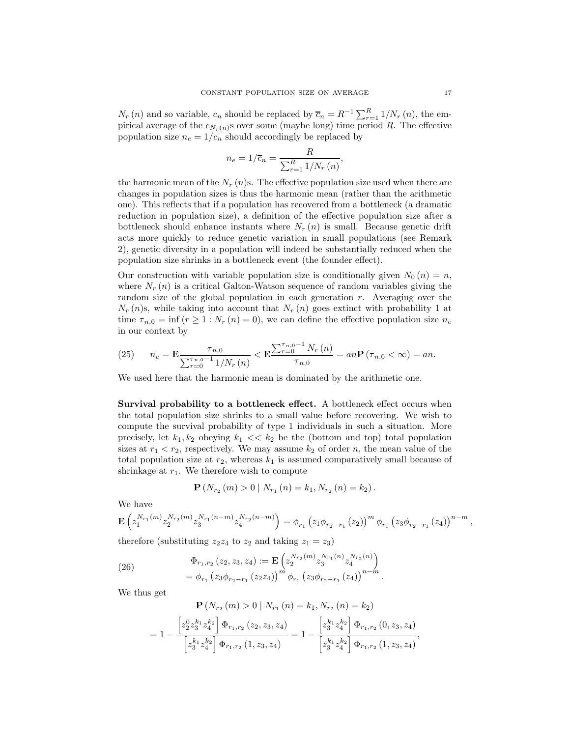$N_r(n)$  and so variable,  $c_n$  should be replaced by  $\overline{c}_n = R^{-1} \sum_{r=1}^R 1/N_r(n)$ , the empirical average of the  $c_{N_r(n)}$ s over some (maybe long) time period R. The effective population size  $n_e = 1/c_n$  should accordingly be replaced by

$$
n_e = 1/\overline{c}_n = \frac{R}{\sum_{r=1}^{R} 1/N_r(n)},
$$

the harmonic mean of the  $N_r$  (n)s. The effective population size used when there are changes in population sizes is thus the harmonic mean (rather than the arithmetic one). This reflects that if a population has recovered from a bottleneck (a dramatic reduction in population size), a definition of the effective population size after a bottleneck should enhance instants where  $N_r(n)$  is small. Because genetic drift acts more quickly to reduce genetic variation in small populations (see Remark 2), genetic diversity in a population will indeed be substantially reduced when the population size shrinks in a bottleneck event (the founder effect).

Our construction with variable population size is conditionally given  $N_0(n) = n$ , where  $N_r(n)$  is a critical Galton-Watson sequence of random variables giving the random size of the global population in each generation  $r$ . Averaging over the  $N_r(n)$ s, while taking into account that  $N_r(n)$  goes extinct with probability 1 at time  $\tau_{n,0} = \inf (r \ge 1 : N_r(n) = 0)$ , we can define the effective population size  $n_e$ in our context by

(25) 
$$
n_e = \mathbf{E} \frac{\tau_{n,0}}{\sum_{r=0}^{\tau_{n,0}-1} 1/N_r(n)} < \mathbf{E} \frac{\sum_{r=0}^{\tau_{n,0}-1} N_r(n)}{\tau_{n,0}} = a n \mathbf{P} (\tau_{n,0} < \infty) = a n.
$$

We used here that the harmonic mean is dominated by the arithmetic one.

Survival probability to a bottleneck effect. A bottleneck effect occurs when the total population size shrinks to a small value before recovering. We wish to compute the survival probability of type 1 individuals in such a situation. More precisely, let  $k_1, k_2$  obeying  $k_1 \ll k_2$  be the (bottom and top) total population sizes at  $r_1 < r_2$ , respectively. We may assume  $k_2$  of order n, the mean value of the total population size at  $r_2$ , whereas  $k_1$  is assumed comparatively small because of shrinkage at  $r_1$ . We therefore wish to compute

$$
\mathbf{P}(N_{r_2}(m) > 0 \mid N_{r_1}(n) = k_1, N_{r_2}(n) = k_2).
$$

We have

$$
\mathbf{E}\left(z_1^{N_{r_1}(m)}z_2^{N_{r_2}(m)}z_3^{N_{r_1}(n-m)}z_4^{N_{r_2}(n-m)}\right) = \phi_{r_1}\left(z_1\phi_{r_2-r_1}\left(z_2\right)\right)^m\phi_{r_1}\left(z_3\phi_{r_2-r_1}\left(z_4\right)\right)^{n-m},
$$

therefore (substituting  $z_2z_4$  to  $z_2$  and taking  $z_1 = z_3$ )

(26) 
$$
\Phi_{r_1,r_2}(z_2,z_3,z_4) := \mathbf{E} \left( z_2^{N_{r_2}(m)} z_3^{N_{r_1}(n)} z_4^{N_{r_2}(n)} \right) \n= \phi_{r_1} \left( z_3 \phi_{r_2-r_1}(z_2 z_4) \right)^m \phi_{r_1} \left( z_3 \phi_{r_2-r_1}(z_4) \right)^{n-m}.
$$

We thus get

$$
\mathbf{P}\left(N_{r_2}\left(m\right) > 0 \mid N_{r_1}\left(n\right) = k_1, N_{r_2}\left(n\right) = k_2\right)
$$
\n
$$
= 1 - \frac{\left[z_2^{0} z_3^{k_1} z_4^{k_2}\right] \Phi_{r_1, r_2}\left(z_2, z_3, z_4\right)}{\left[z_3^{k_1} z_4^{k_2}\right] \Phi_{r_1, r_2}\left(1, z_3, z_4\right)} = 1 - \frac{\left[z_3^{k_1} z_4^{k_2}\right] \Phi_{r_1, r_2}\left(0, z_3, z_4\right)}{\left[z_3^{k_1} z_4^{k_2}\right] \Phi_{r_1, r_2}\left(1, z_3, z_4\right)},
$$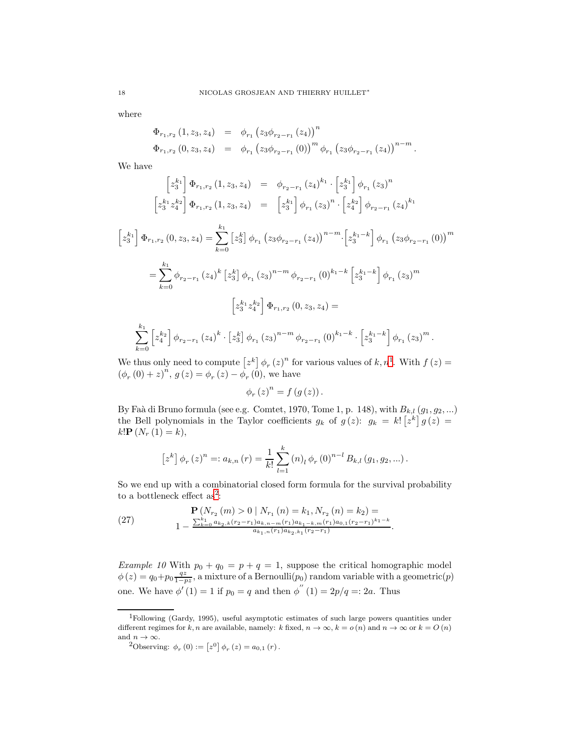where

$$
\begin{array}{rcl}\n\Phi_{r_1,r_2} (1, z_3, z_4) & = & \phi_{r_1} \left( z_3 \phi_{r_2 - r_1} (z_4) \right)^n \\
\Phi_{r_1,r_2} (0, z_3, z_4) & = & \phi_{r_1} \left( z_3 \phi_{r_2 - r_1} (0) \right)^m \phi_{r_1} \left( z_3 \phi_{r_2 - r_1} (z_4) \right)^{n-m}.\n\end{array}
$$

We have

$$
\begin{aligned}\n\left[z_{3}^{k_{1}}\right] \Phi_{r_{1},r_{2}}\left(1,z_{3},z_{4}\right) &= \phi_{r_{2}-r_{1}}\left(z_{4}\right)^{k_{1}} \cdot \left[z_{3}^{k_{1}}\right] \phi_{r_{1}}\left(z_{3}\right)^{n} \\
\left[z_{3}^{k_{1}}z_{4}^{k_{2}}\right] \Phi_{r_{1},r_{2}}\left(1,z_{3},z_{4}\right) &= \left[z_{3}^{k_{1}}\right] \phi_{r_{1}}\left(z_{3}\right)^{n} \cdot \left[z_{4}^{k_{2}}\right] \phi_{r_{2}-r_{1}}\left(z_{4}\right)^{k_{1}} \\
\left[z_{3}^{k_{1}}\right] \Phi_{r_{1},r_{2}}\left(0,z_{3},z_{4}\right) &= \sum_{k=0}^{k_{1}}\left[z_{3}^{k}\right] \phi_{r_{1}}\left(z_{3}\phi_{r_{2}-r_{1}}\left(z_{4}\right)\right)^{n-m} \cdot \left[z_{3}^{k_{1}-k}\right] \phi_{r_{1}}\left(z_{3}\phi_{r_{2}-r_{1}}\left(0\right)\right)^{m} \\
&= \sum_{k=0}^{k_{1}} \phi_{r_{2}-r_{1}}\left(z_{4}\right)^{k}\left[z_{3}^{k}\right] \phi_{r_{1}}\left(z_{3}\right)^{n-m} \phi_{r_{2}-r_{1}}\left(0\right)^{k_{1}-k}\left[z_{3}^{k_{1}-k}\right] \phi_{r_{1}}\left(z_{3}\right)^{m} \\
\left[z_{3}^{k_{1}}z_{4}^{k_{2}}\right] \Phi_{r_{1},r_{2}}\left(0,z_{3},z_{4}\right) &= \\
\sum_{k=0}^{k_{1}}\left[z_{4}^{k_{2}}\right] \phi_{r_{2}-r_{1}}\left(z_{4}\right)^{k} \cdot \left[z_{3}^{k}\right] \phi_{r_{1}}\left(z_{3}\right)^{n-m} \phi_{r_{2}-r_{1}}\left(0\right)^{k_{1}-k} \cdot \left[z_{3}^{k_{1}-k}\right] \phi_{r_{1}}\left(z_{3}\right)^{m}.\n\end{aligned}
$$

We thus only need to compute  $[z^k] \phi_r(z)^n$  for various values of  $k, n^1$  $k, n^1$ . With  $f(z) =$  $(\phi_r(0) + z)^n$ ,  $g(z) = \phi_r(z) - \phi_r(0)$ , we have

$$
\phi_r(z)^n = f(g(z)).
$$

By Faà di Bruno formula (see e.g. Comtet, 1970, Tome 1, p. 148), with  $B_{k,l}$   $(g_1, g_2, ...)$ the Bell polynomials in the Taylor coefficients  $g_k$  of  $g(z)$ :  $g_k = k! [z^k] g(z) =$  $k!\mathbf{P}(N_r(1) = k),$ 

$$
\left[z^{k}\right] \phi_{r}\left(z\right)^{n} =: a_{k,n}\left(r\right) = \frac{1}{k!} \sum_{l=1}^{k} \left(n\right)_{l} \phi_{r}\left(0\right)^{n-l} B_{k,l}\left(g_{1}, g_{2},...\right).
$$

So we end up with a combinatorial closed form formula for the survival probability to a bottleneck effect  $as^2$  $as^2$ :

(27) 
$$
\mathbf{P}(N_{r_2}(m) > 0 \mid N_{r_1}(n) = k_1, N_{r_2}(n) = k_2) =
$$

$$
1 - \frac{\sum_{k=0}^{k_1} a_{k_2,k}(r_2 - r_1)a_{k,n-m}(r_1)a_{k_1-k,m}(r_1)a_{0,1}(r_2 - r_1)^{k_1 - k}}{a_{k_1,n}(r_1)a_{k_2,k_1}(r_2 - r_1)}.
$$

*Example 10* With  $p_0 + q_0 = p + q = 1$ , suppose the critical homographic model  $\phi(z) = q_0 + p_0 \frac{qz}{1-pz}$ , a mixture of a Bernoulli $(p_0)$  random variable with a geometric $(p)$ one. We have  $\phi'(1) = 1$  if  $p_0 = q$  and then  $\phi''(1) = 2p/q = 2a$ . Thus

<span id="page-17-0"></span><sup>1</sup>Following (Gardy, 1995), useful asymptotic estimates of such large powers quantities under different regimes for  $k,n$  are available, namely:  $k$  fixed,  $n\to\infty, k=o\left(n\right)$  and  $n\to\infty$  or  $k=O\left(n\right)$ and  $n \to \infty$ .

<span id="page-17-1"></span><sup>&</sup>lt;sup>2</sup>Observing:  $\phi_r(0) := [z^0] \phi_r(z) = a_{0,1}(r)$ .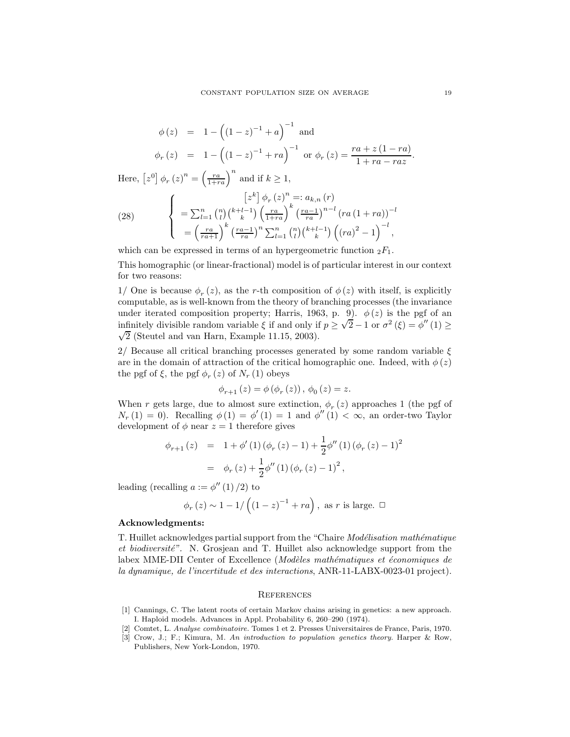$$
\begin{array}{rcl}\n\phi(z) & = & 1 - \left( (1-z)^{-1} + a \right)^{-1} \text{ and} \\
\phi_r(z) & = & 1 - \left( (1-z)^{-1} + ra \right)^{-1} \text{ or } \phi_r(z) = \frac{ra + z(1-ra)}{1 + ra - raz}.\n\end{array}
$$

Here,  $[z^0] \phi_r (z)^n = \left(\frac{ra}{1+ra}\right)^n$  and if  $k \ge 1$ ,

(28) 
$$
\begin{cases}\n[z^{k}] \phi_{r}(z)^{n} =: a_{k,n}(r) \\
= \sum_{l=1}^{n} {n \choose l} {k+l-1 \choose k} \left(\frac{ra}{1+ra}\right)^{k} \left(\frac{ra-1}{ra}\right)^{n-l} (ra(1+ra))^{-l} \\
= \left(\frac{ra}{ra+1}\right)^{k} \left(\frac{ra-1}{ra}\right)^{n} \sum_{l=1}^{n} {n \choose l} {k+l-1 \choose k} \left((ra)^{2}-1\right)^{-l},\n\end{cases}
$$

which can be expressed in terms of an hypergeometric function  ${}_2F_1$ .

This homographic (or linear-fractional) model is of particular interest in our context for two reasons:

1/ One is because  $\phi_r(z)$ , as the r-th composition of  $\phi(z)$  with itself, is explicitly computable, as is well-known from the theory of branching processes (the invariance under iterated composition property; Harris, 1963, p. 9).  $\phi(z)$  is the pgf of an infinitely divisible random variable  $\xi$  if and only if  $p \ge \sqrt{2} - 1$  or  $\sigma^2(\xi) = \phi''(1) \ge$  $\sqrt{2}$  (Steutel and van Harn, Example 11.15, 2003).

2/ Because all critical branching processes generated by some random variable  $\xi$ are in the domain of attraction of the critical homographic one. Indeed, with  $\phi(z)$ the pgf of  $\xi$ , the pgf  $\phi_r(z)$  of  $N_r(1)$  obeys

$$
\phi_{r+1}(z) = \phi(\phi_r(z)), \phi_0(z) = z.
$$

When r gets large, due to almost sure extinction,  $\phi_r(z)$  approaches 1 (the pgf of  $N_r(1) = 0$ . Recalling  $\phi(1) = \phi'(1) = 1$  and  $\phi''(1) < \infty$ , an order-two Taylor development of  $\phi$  near  $z = 1$  therefore gives

$$
\begin{array}{rcl}\n\phi_{r+1}(z) & = & 1 + \phi'(1) \left( \phi_r(z) - 1 \right) + \frac{1}{2} \phi''(1) \left( \phi_r(z) - 1 \right)^2 \\
& = & \phi_r(z) + \frac{1}{2} \phi''(1) \left( \phi_r(z) - 1 \right)^2,\n\end{array}
$$

leading (recalling  $a := \phi''(1)/2$ ) to

$$
\phi_r(z) \sim 1 - 1/\left(\left(1-z\right)^{-1} + ra\right)
$$
, as *r* is large.  $\Box$ 

#### Acknowledgments:

T. Huillet acknowledges partial support from the "Chaire Modélisation mathématique  $et\ *biodiversité*".$  N. Grosjean and T. Huillet also acknowledge support from the labex MME-DII Center of Excellence (*Modèles mathématiques et économiques de* la dynamique, de l'incertitude et des interactions, ANR-11-LABX-0023-01 project).

#### **REFERENCES**

- [1] Cannings, C. The latent roots of certain Markov chains arising in genetics: a new approach. I. Haploid models. Advances in Appl. Probability 6, 260–290 (1974).
- [2] Comtet, L. Analyse combinatoire. Tomes 1 et 2. Presses Universitaires de France, Paris, 1970.
- [3] Crow, J.; F.; Kimura, M. An introduction to population genetics theory. Harper & Row, Publishers, New York-London, 1970.